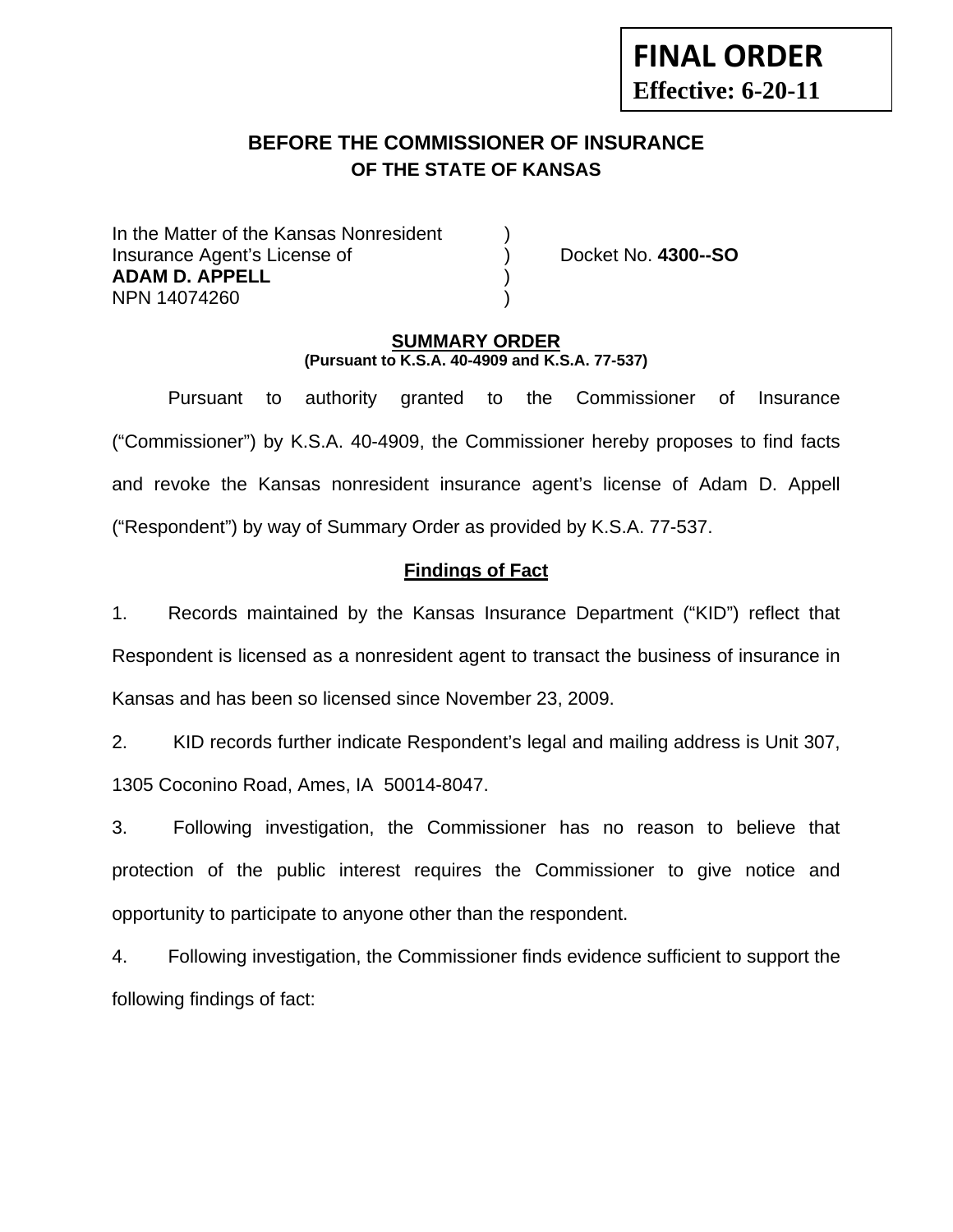# **BEFORE THE COMMISSIONER OF INSURANCE OF THE STATE OF KANSAS**

In the Matter of the Kansas Nonresident Insurance Agent's License of ) Docket No. **4300--SO ADAM D. APPELL** ) NPN 14074260 )

**FINAL ORDER**

**Effective: 6-20-11** 

### **SUMMARY ORDER (Pursuant to K.S.A. 40-4909 and K.S.A. 77-537)**

 Pursuant to authority granted to the Commissioner of Insurance ("Commissioner") by K.S.A. 40-4909, the Commissioner hereby proposes to find facts and revoke the Kansas nonresident insurance agent's license of Adam D. Appell ("Respondent") by way of Summary Order as provided by K.S.A. 77-537.

# **Findings of Fact**

1. Records maintained by the Kansas Insurance Department ("KID") reflect that Respondent is licensed as a nonresident agent to transact the business of insurance in Kansas and has been so licensed since November 23, 2009.

2. KID records further indicate Respondent's legal and mailing address is Unit 307, 1305 Coconino Road, Ames, IA 50014-8047.

3. Following investigation, the Commissioner has no reason to believe that protection of the public interest requires the Commissioner to give notice and opportunity to participate to anyone other than the respondent.

4. Following investigation, the Commissioner finds evidence sufficient to support the following findings of fact: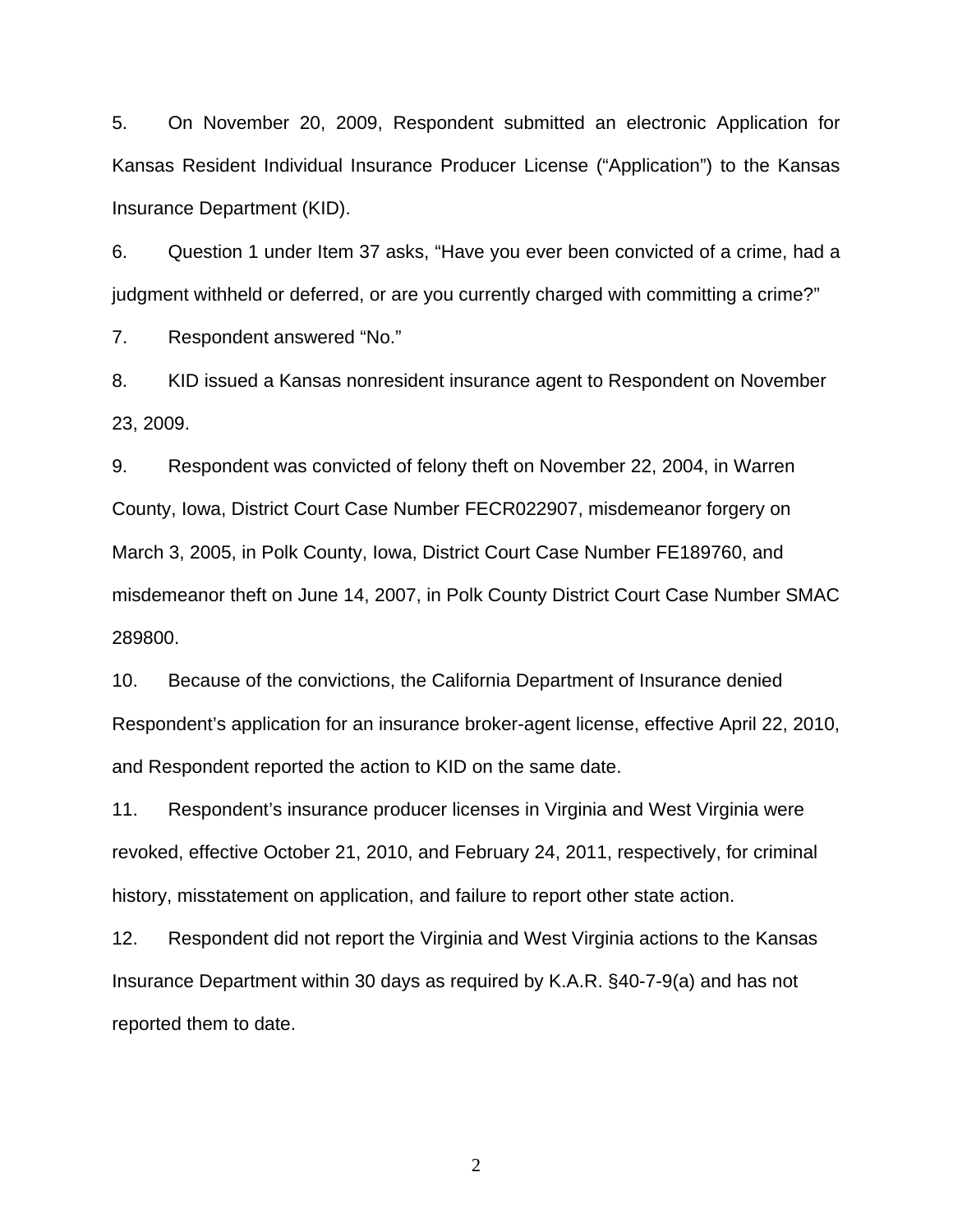5. On November 20, 2009, Respondent submitted an electronic Application for Kansas Resident Individual Insurance Producer License ("Application") to the Kansas Insurance Department (KID).

6. Question 1 under Item 37 asks, "Have you ever been convicted of a crime, had a judgment withheld or deferred, or are you currently charged with committing a crime?"

7. Respondent answered "No."

8. KID issued a Kansas nonresident insurance agent to Respondent on November 23, 2009.

9. Respondent was convicted of felony theft on November 22, 2004, in Warren County, Iowa, District Court Case Number FECR022907, misdemeanor forgery on March 3, 2005, in Polk County, Iowa, District Court Case Number FE189760, and misdemeanor theft on June 14, 2007, in Polk County District Court Case Number SMAC 289800.

10. Because of the convictions, the California Department of Insurance denied Respondent's application for an insurance broker-agent license, effective April 22, 2010, and Respondent reported the action to KID on the same date.

11. Respondent's insurance producer licenses in Virginia and West Virginia were revoked, effective October 21, 2010, and February 24, 2011, respectively, for criminal history, misstatement on application, and failure to report other state action.

12. Respondent did not report the Virginia and West Virginia actions to the Kansas Insurance Department within 30 days as required by K.A.R. §40-7-9(a) and has not reported them to date.

2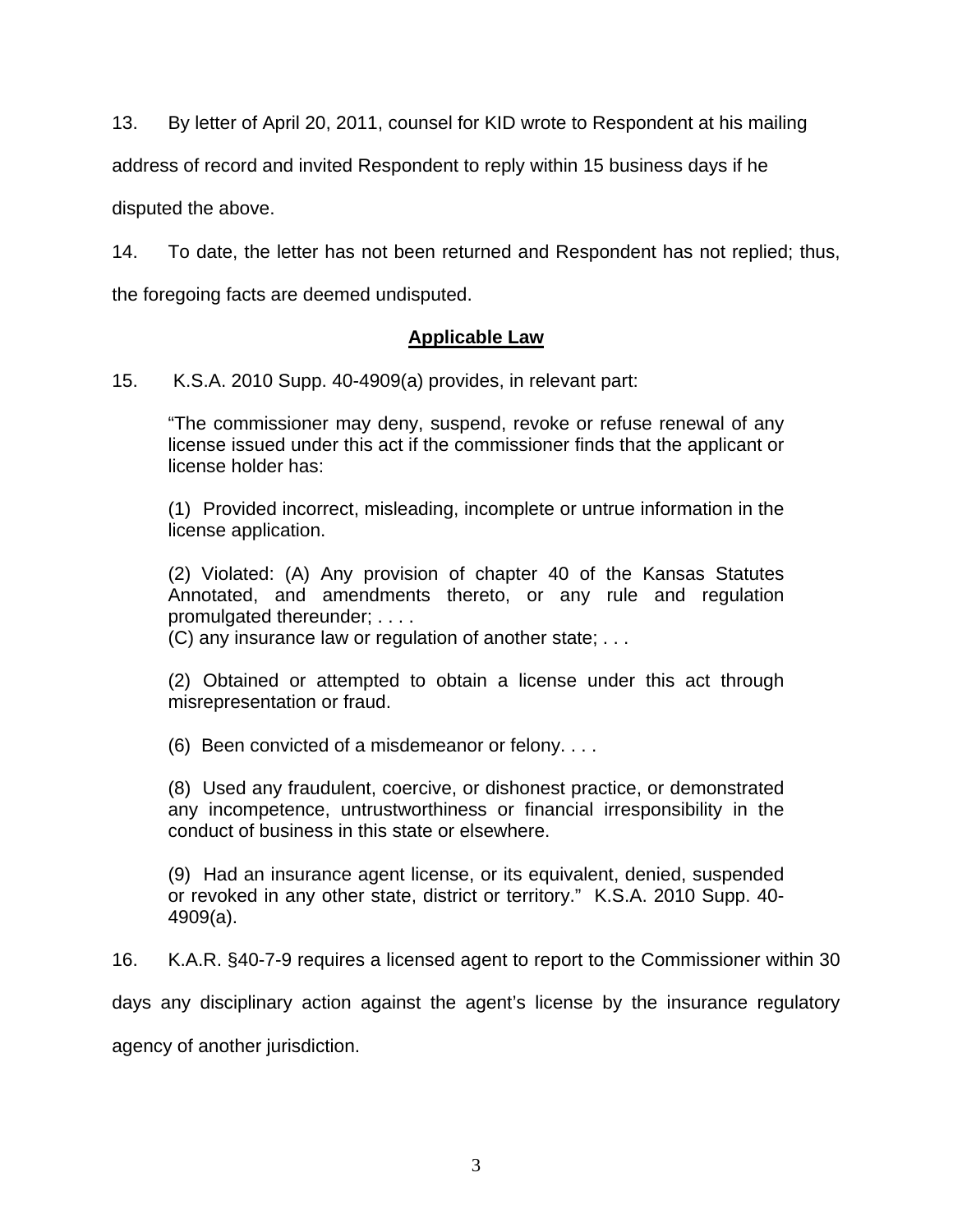13. By letter of April 20, 2011, counsel for KID wrote to Respondent at his mailing

address of record and invited Respondent to reply within 15 business days if he

disputed the above.

14. To date, the letter has not been returned and Respondent has not replied; thus,

the foregoing facts are deemed undisputed.

# **Applicable Law**

15. K.S.A. 2010 Supp. 40-4909(a) provides, in relevant part:

"The commissioner may deny, suspend, revoke or refuse renewal of any license issued under this act if the commissioner finds that the applicant or license holder has:

(1) Provided incorrect, misleading, incomplete or untrue information in the license application.

(2) Violated: (A) Any provision of chapter 40 of the Kansas Statutes Annotated, and amendments thereto, or any rule and regulation promulgated thereunder; . . . .

(C) any insurance law or regulation of another state; . . .

(2) Obtained or attempted to obtain a license under this act through misrepresentation or fraud.

(6) Been convicted of a misdemeanor or felony. . . .

(8) Used any fraudulent, coercive, or dishonest practice, or demonstrated any incompetence, untrustworthiness or financial irresponsibility in the conduct of business in this state or elsewhere.

(9) Had an insurance agent license, or its equivalent, denied, suspended or revoked in any other state, district or territory." K.S.A. 2010 Supp. 40- 4909(a).

16. K.A.R. §40-7-9 requires a licensed agent to report to the Commissioner within 30

days any disciplinary action against the agent's license by the insurance regulatory

agency of another jurisdiction.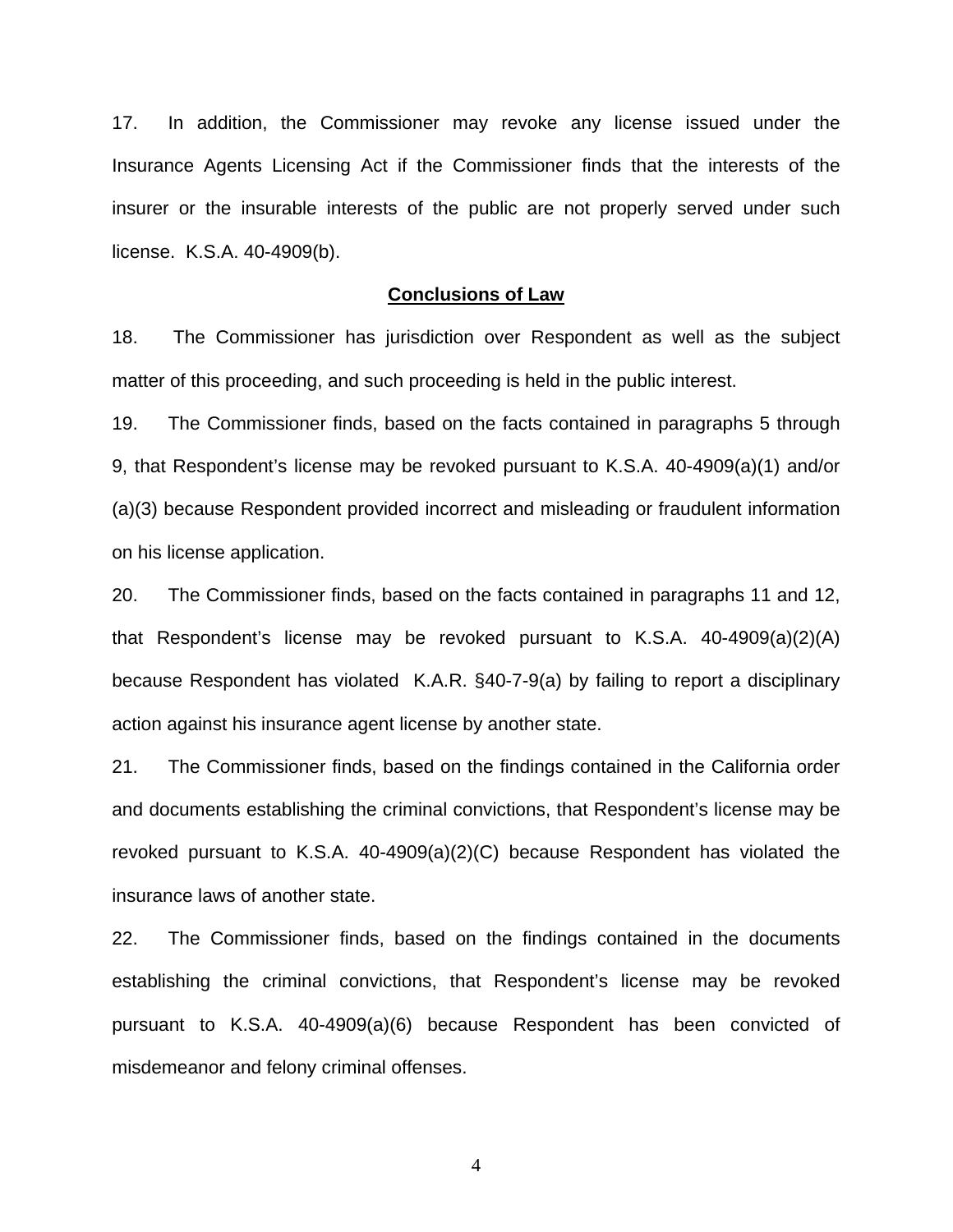17. In addition, the Commissioner may revoke any license issued under the Insurance Agents Licensing Act if the Commissioner finds that the interests of the insurer or the insurable interests of the public are not properly served under such license. K.S.A. 40-4909(b).

#### **Conclusions of Law**

18. The Commissioner has jurisdiction over Respondent as well as the subject matter of this proceeding, and such proceeding is held in the public interest.

19. The Commissioner finds, based on the facts contained in paragraphs 5 through 9, that Respondent's license may be revoked pursuant to K.S.A. 40-4909(a)(1) and/or (a)(3) because Respondent provided incorrect and misleading or fraudulent information on his license application.

20. The Commissioner finds, based on the facts contained in paragraphs 11 and 12, that Respondent's license may be revoked pursuant to K.S.A. 40-4909(a)(2)(A) because Respondent has violated K.A.R. §40-7-9(a) by failing to report a disciplinary action against his insurance agent license by another state.

21. The Commissioner finds, based on the findings contained in the California order and documents establishing the criminal convictions, that Respondent's license may be revoked pursuant to K.S.A. 40-4909(a)(2)(C) because Respondent has violated the insurance laws of another state.

22. The Commissioner finds, based on the findings contained in the documents establishing the criminal convictions, that Respondent's license may be revoked pursuant to K.S.A. 40-4909(a)(6) because Respondent has been convicted of misdemeanor and felony criminal offenses.

4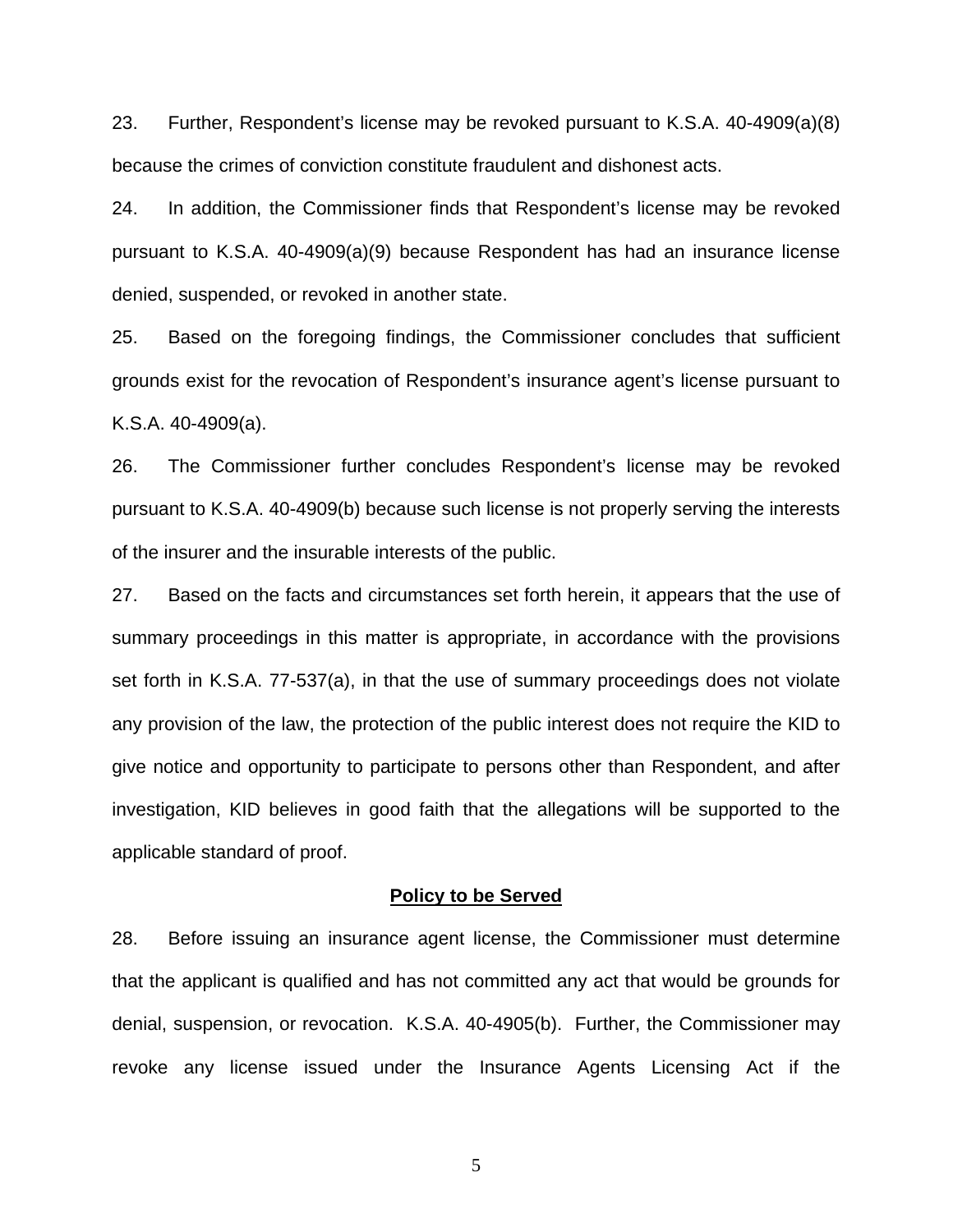23. Further, Respondent's license may be revoked pursuant to K.S.A. 40-4909(a)(8) because the crimes of conviction constitute fraudulent and dishonest acts.

24. In addition, the Commissioner finds that Respondent's license may be revoked pursuant to K.S.A. 40-4909(a)(9) because Respondent has had an insurance license denied, suspended, or revoked in another state.

25. Based on the foregoing findings, the Commissioner concludes that sufficient grounds exist for the revocation of Respondent's insurance agent's license pursuant to K.S.A. 40-4909(a).

26. The Commissioner further concludes Respondent's license may be revoked pursuant to K.S.A. 40-4909(b) because such license is not properly serving the interests of the insurer and the insurable interests of the public.

27. Based on the facts and circumstances set forth herein, it appears that the use of summary proceedings in this matter is appropriate, in accordance with the provisions set forth in K.S.A. 77-537(a), in that the use of summary proceedings does not violate any provision of the law, the protection of the public interest does not require the KID to give notice and opportunity to participate to persons other than Respondent, and after investigation, KID believes in good faith that the allegations will be supported to the applicable standard of proof.

#### **Policy to be Served**

28. Before issuing an insurance agent license, the Commissioner must determine that the applicant is qualified and has not committed any act that would be grounds for denial, suspension, or revocation. K.S.A. 40-4905(b). Further, the Commissioner may revoke any license issued under the Insurance Agents Licensing Act if the

5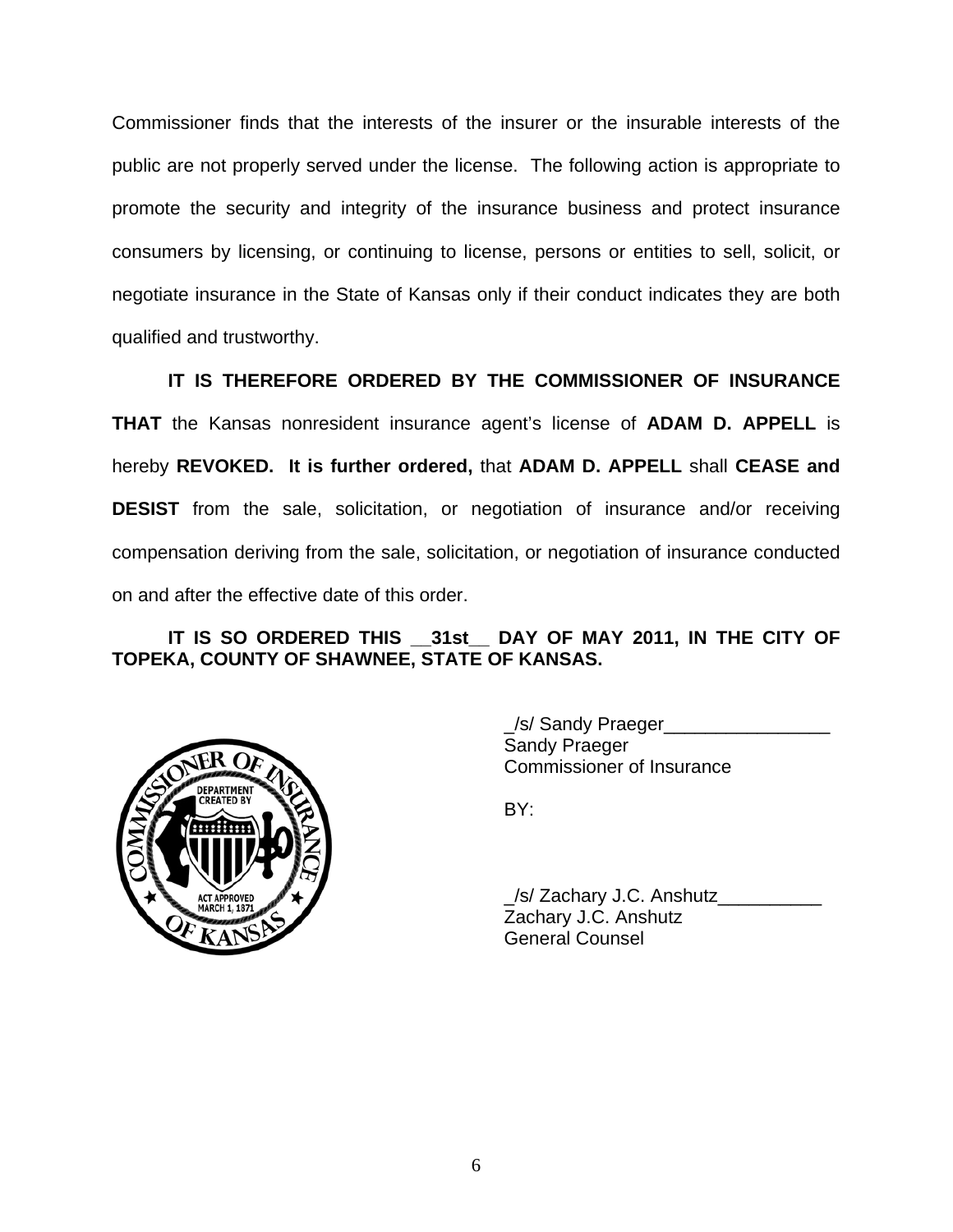Commissioner finds that the interests of the insurer or the insurable interests of the public are not properly served under the license. The following action is appropriate to promote the security and integrity of the insurance business and protect insurance consumers by licensing, or continuing to license, persons or entities to sell, solicit, or negotiate insurance in the State of Kansas only if their conduct indicates they are both qualified and trustworthy.

 **IT IS THEREFORE ORDERED BY THE COMMISSIONER OF INSURANCE THAT** the Kansas nonresident insurance agent's license of **ADAM D. APPELL** is hereby **REVOKED. It is further ordered,** that **ADAM D. APPELL** shall **CEASE and DESIST** from the sale, solicitation, or negotiation of insurance and/or receiving compensation deriving from the sale, solicitation, or negotiation of insurance conducted on and after the effective date of this order.

# **IT IS SO ORDERED THIS \_\_31st\_\_ DAY OF MAY 2011, IN THE CITY OF TOPEKA, COUNTY OF SHAWNEE, STATE OF KANSAS.**



 \_/s/ Sandy Praeger\_\_\_\_\_\_\_\_\_\_\_\_\_\_\_\_ Sandy Praeger Commissioner of Insurance

 \_/s/ Zachary J.C. Anshutz\_\_\_\_\_\_\_\_\_\_ Zachary J.C. Anshutz General Counsel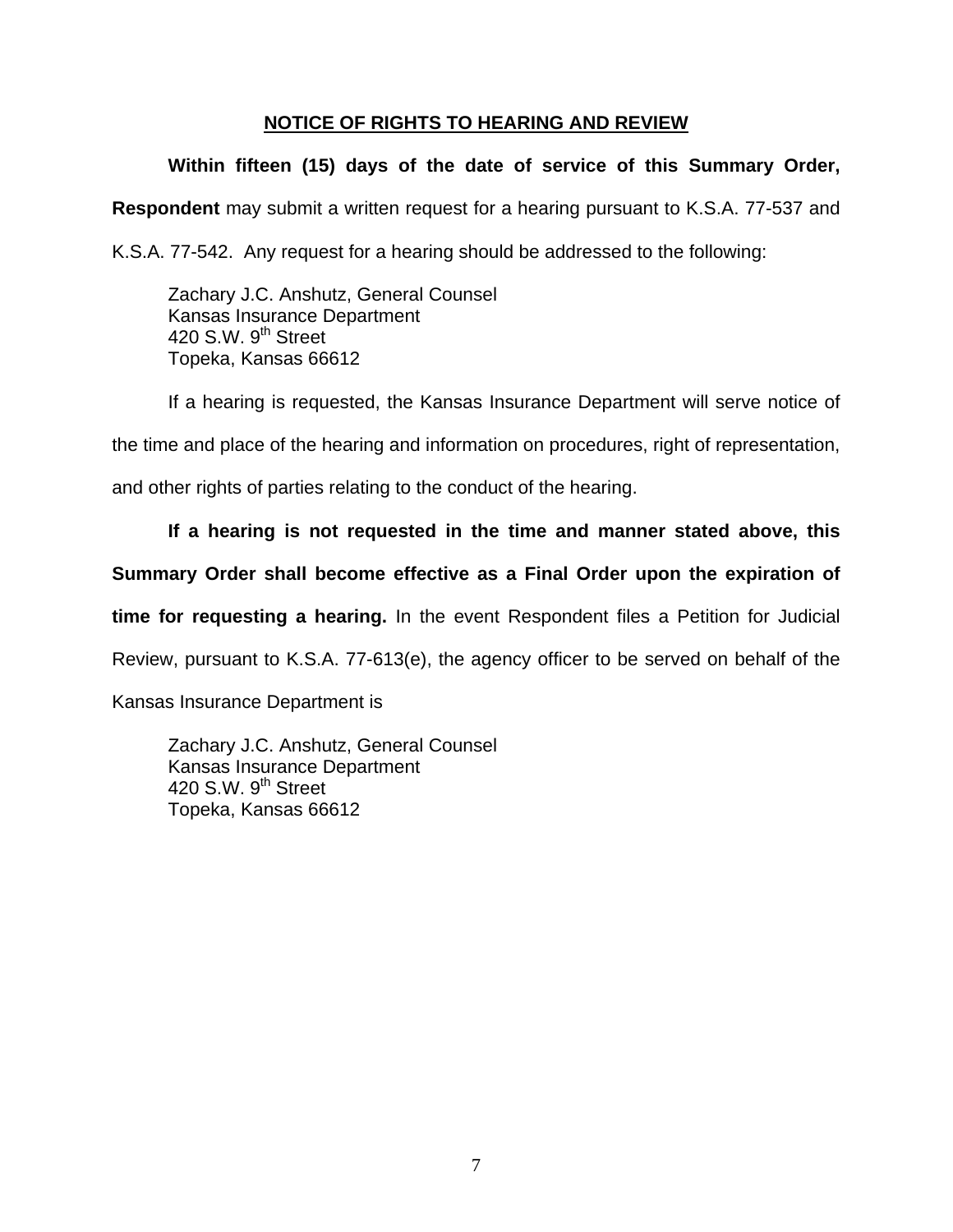# **NOTICE OF RIGHTS TO HEARING AND REVIEW**

# **Within fifteen (15) days of the date of service of this Summary Order,**

**Respondent** may submit a written request for a hearing pursuant to K.S.A. 77-537 and

K.S.A. 77-542. Any request for a hearing should be addressed to the following:

 Zachary J.C. Anshutz, General Counsel Kansas Insurance Department 420 S.W. 9<sup>th</sup> Street Topeka, Kansas 66612

If a hearing is requested, the Kansas Insurance Department will serve notice of

the time and place of the hearing and information on procedures, right of representation,

and other rights of parties relating to the conduct of the hearing.

# **If a hearing is not requested in the time and manner stated above, this**

## **Summary Order shall become effective as a Final Order upon the expiration of**

**time for requesting a hearing.** In the event Respondent files a Petition for Judicial

Review, pursuant to K.S.A. 77-613(e), the agency officer to be served on behalf of the

Kansas Insurance Department is

 Zachary J.C. Anshutz, General Counsel Kansas Insurance Department 420 S.W.  $9<sup>th</sup>$  Street Topeka, Kansas 66612